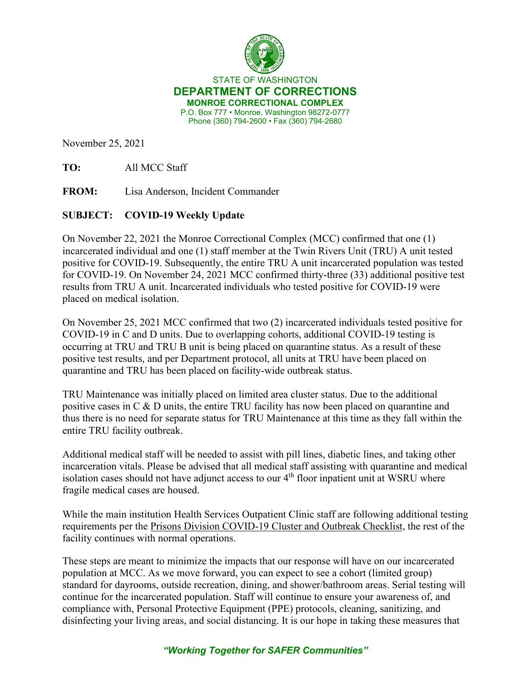

STATE OF WASHINGTON **DEPARTMENT OF CORRECTIONS MONROE CORRECTIONAL COMPLEX** P.O. Box 777 • Monroe, Washington 98272-0777 Phone (360) 794-2600 • Fax (360) 794-2680

November 25, 2021

**TO:** All MCC Staff

**FROM:** Lisa Anderson, Incident Commander

## **SUBJECT: COVID-19 Weekly Update**

On November 22, 2021 the Monroe Correctional Complex (MCC) confirmed that one (1) incarcerated individual and one (1) staff member at the Twin Rivers Unit (TRU) A unit tested positive for COVID-19. Subsequently, the entire TRU A unit incarcerated population was tested for COVID-19. On November 24, 2021 MCC confirmed thirty-three (33) additional positive test results from TRU A unit. Incarcerated individuals who tested positive for COVID-19 were placed on medical isolation.

On November 25, 2021 MCC confirmed that two (2) incarcerated individuals tested positive for COVID-19 in C and D units. Due to overlapping cohorts, additional COVID-19 testing is occurring at TRU and TRU B unit is being placed on quarantine status. As a result of these positive test results, and per Department protocol, all units at TRU have been placed on quarantine and TRU has been placed on facility-wide outbreak status.

TRU Maintenance was initially placed on limited area cluster status. Due to the additional positive cases in C & D units, the entire TRU facility has now been placed on quarantine and thus there is no need for separate status for TRU Maintenance at this time as they fall within the entire TRU facility outbreak.

Additional medical staff will be needed to assist with pill lines, diabetic lines, and taking other incarceration vitals. Please be advised that all medical staff assisting with quarantine and medical isolation cases should not have adjunct access to our 4<sup>th</sup> floor inpatient unit at WSRU where fragile medical cases are housed.

While the main institution Health Services Outpatient Clinic staff are following additional testing requirements per the [Prisons Division COVID-19 Cluster and Outbreak Checklist,](https://www.doc.wa.gov/corrections/covid-19/docs/outbreak-checklist.pdf) the rest of the facility continues with normal operations.

These steps are meant to minimize the impacts that our response will have on our incarcerated population at MCC. As we move forward, you can expect to see a cohort (limited group) standard for dayrooms, outside recreation, dining, and shower/bathroom areas. Serial testing will continue for the incarcerated population. Staff will continue to ensure your awareness of, and compliance with, Personal Protective Equipment (PPE) protocols, cleaning, sanitizing, and disinfecting your living areas, and social distancing. It is our hope in taking these measures that

## *"Working Together for SAFER Communities"*